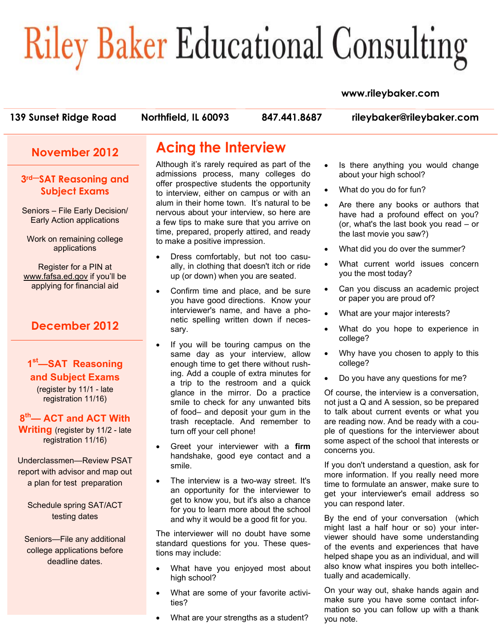# **Riley Baker Educational Consulting**

#### **www.rileybaker.com**

**139 Sunset Ridge Road Northfield, IL 60093 847.441.8687 rileybaker@rileybaker.com**

#### **November 2012**

#### **3rd—SAT Reasoning and Subject Exams**

Seniors – File Early Decision/ Early Action applications

Work on remaining college applications

Register for a PIN at www.fafsa.ed.gov if you'll be applying for financial aid

## **December 2012**

#### **1st—SAT Reasoning and Subject Exams**  (register by 11/1 - late

registration 11/16)

**8th— ACT and ACT With Writing** (register by 11/2 - late registration 11/16)

Underclassmen—Review PSAT report with advisor and map out a plan for test preparation

Schedule spring SAT/ACT testing dates

Seniors—File any additional college applications before deadline dates.

# **Acing the Interview**

Although it's rarely required as part of the admissions process, many colleges do offer prospective students the opportunity to interview, either on campus or with an alum in their home town. It's natural to be nervous about your interview, so here are a few tips to make sure that you arrive on time, prepared, properly attired, and ready to make a positive impression.

- Dress comfortably, but not too casually, in clothing that doesn't itch or ride up (or down) when you are seated.
- Confirm time and place, and be sure you have good directions. Know your interviewer's name, and have a phonetic spelling written down if necessary.
- If you will be touring campus on the same day as your interview, allow enough time to get there without rushing. Add a couple of extra minutes for a trip to the restroom and a quick glance in the mirror. Do a practice smile to check for any unwanted bits of food– and deposit your gum in the trash receptacle. And remember to turn off your cell phone!
- Greet your interviewer with a **firm** handshake, good eye contact and a smile.
- The interview is a two-way street. It's an opportunity for the interviewer to get to know you, but it's also a chance for you to learn more about the school and why it would be a good fit for you.

The interviewer will no doubt have some standard questions for you. These questions may include:

- What have you enjoyed most about high school?
- What are some of your favorite activities?
- What are your strengths as a student?
- Is there anything you would change about your high school?
- What do you do for fun?
- Are there any books or authors that have had a profound effect on you? (or, what's the last book you read – or the last movie you saw?)
- What did you do over the summer?
- What current world issues concern you the most today?
- Can you discuss an academic project or paper you are proud of?
- What are your major interests?
- What do you hope to experience in college?
- Why have you chosen to apply to this college?
- Do you have any questions for me?

Of course, the interview is a conversation, not just a Q and A session, so be prepared to talk about current events or what you are reading now. And be ready with a couple of questions for the interviewer about some aspect of the school that interests or concerns you.

If you don't understand a question, ask for more information. If you really need more time to formulate an answer, make sure to get your interviewer's email address so you can respond later.

By the end of your conversation (which might last a half hour or so) your interviewer should have some understanding of the events and experiences that have helped shape you as an individual, and will also know what inspires you both intellectually and academically.

On your way out, shake hands again and make sure you have some contact information so you can follow up with a thank you note.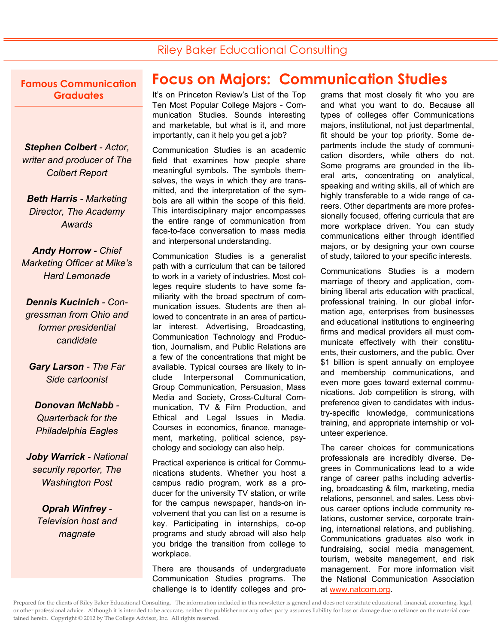# Riley Baker Educational Consulting

**Famous Communication Graduates** 

*Stephen Colbert - Actor, writer and producer of The Colbert Report* 

*Beth Harris - Marketing Director, The Academy Awards* 

*Andy Horrow - Chief Marketing Officer at Mike's Hard Lemonade* 

*Dennis Kucinich - Congressman from Ohio and former presidential candidate* 

*Gary Larson - The Far Side cartoonist* 

*Donovan McNabb - Quarterback for the Philadelphia Eagles* 

*Joby Warrick - National security reporter, The Washington Post* 

> *Oprah Winfrey - Television host and magnate*

# **Focus on Majors: Communication Studies**

It's on Princeton Review's List of the Top Ten Most Popular College Majors - Communication Studies. Sounds interesting and marketable, but what is it, and more importantly, can it help you get a job?

Communication Studies is an academic field that examines how people share meaningful symbols. The symbols themselves, the ways in which they are transmitted, and the interpretation of the symbols are all within the scope of this field. This interdisciplinary major encompasses the entire range of communication from face-to-face conversation to mass media and interpersonal understanding.

Communication Studies is a generalist path with a curriculum that can be tailored to work in a variety of industries. Most colleges require students to have some familiarity with the broad spectrum of communication issues. Students are then allowed to concentrate in an area of particular interest. Advertising, Broadcasting, Communication Technology and Production, Journalism, and Public Relations are a few of the concentrations that might be available. Typical courses are likely to include Interpersonal Communication, Group Communication, Persuasion, Mass Media and Society, Cross-Cultural Communication, TV & Film Production, and Ethical and Legal Issues in Media. Courses in economics, finance, management, marketing, political science, psychology and sociology can also help.

Practical experience is critical for Communications students. Whether you host a campus radio program, work as a producer for the university TV station, or write for the campus newspaper, hands-on involvement that you can list on a resume is key. Participating in internships, co-op programs and study abroad will also help you bridge the transition from college to workplace.

There are thousands of undergraduate Communication Studies programs. The challenge is to identify colleges and programs that most closely fit who you are and what you want to do. Because all types of colleges offer Communications majors, institutional, not just departmental, fit should be your top priority. Some departments include the study of communication disorders, while others do not. Some programs are grounded in the liberal arts, concentrating on analytical, speaking and writing skills, all of which are highly transferable to a wide range of careers. Other departments are more professionally focused, offering curricula that are more workplace driven. You can study communications either through identified majors, or by designing your own course of study, tailored to your specific interests.

Communications Studies is a modern marriage of theory and application, combining liberal arts education with practical, professional training. In our global information age, enterprises from businesses and educational institutions to engineering firms and medical providers all must communicate effectively with their constituents, their customers, and the public. Over \$1 billion is spent annually on employee and membership communications, and even more goes toward external communications. Job competition is strong, with preference given to candidates with industry-specific knowledge, communications training, and appropriate internship or volunteer experience.

The career choices for communications professionals are incredibly diverse. Degrees in Communications lead to a wide range of career paths including advertising, broadcasting & film, marketing, media relations, personnel, and sales. Less obvious career options include community relations, customer service, corporate training, international relations, and publishing. Communications graduates also work in fundraising, social media management, tourism, website management, and risk management. For more information visit the National Communication Association at www.natcom.org.

Prepared for the clients of Riley Baker Educational Consulting. The information included in this newsletter is general and does not constitute educational, financial, accounting, legal, or other professional advice. Although it is intended to be accurate, neither the publisher nor any other party assumes liability for loss or damage due to reliance on the material contained herein. Copyright © 2012 by The College Advisor, Inc. All rights reserved.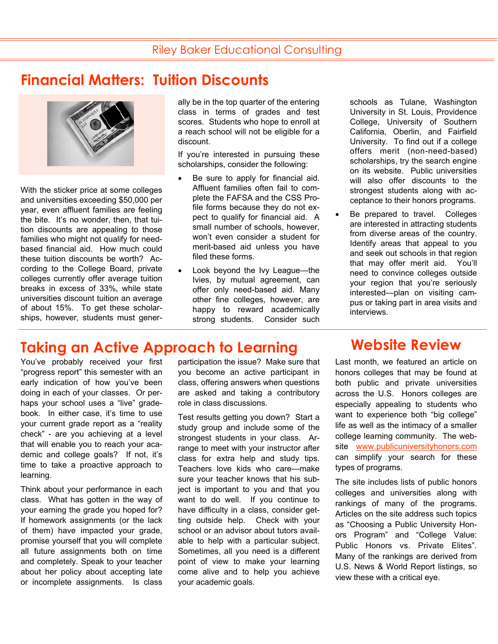# **Financial Matters: Tuition Discounts**



With the sticker price at some colleges and universities exceeding \$50,000 per year, even affluent families are feeling the bite. It's no wonder, then, that tuition discounts are appealing to those families who might not qualify for needbased financial aid. How much could these tuition discounts be worth? According to the College Board, private colleges currently offer average tuition breaks in excess of 33%, while state universities discount tuition an average of about 15%. To get these scholarships, however, students must generally be in the top quarter of the entering class in terms of grades and test scores. Students who hope to enroll at a reach school will not be eligible for a discount.

If you're interested in pursuing these scholarships, consider the following:

- Be sure to apply for financial aid. Affluent families often fail to complete the FAFSA and the CSS Profile forms because they do not expect to qualify for financial aid. A small number of schools, however, won't even consider a student for merit-based aid unless you have filed these forms.
- Look beyond the Ivy League—the Ivies, by mutual agreement, can offer only need-based aid. Many other fine colleges, however, are happy to reward academically strong students. Consider such

schools as Tulane, Washington University in St. Louis, Providence College, University of Southern California, Oberlin, and Fairfield University. To find out if a college offers merit (non-need-based) scholarships, try the search engine on its website. Public universities will also offer discounts to the strongest students along with acceptance to their honors programs.

Be prepared to travel. Colleges are interested in attracting students from diverse areas of the country. Identify areas that appeal to you and seek out schools in that region that may offer merit aid. You'll need to convince colleges outside your region that you're seriously interested—plan on visiting campus or taking part in area visits and interviews.

# **Taking an Active Approach to Learning Website Review**

You've probably received your first "progress report" this semester with an early indication of how you've been doing in each of your classes. Or perhaps your school uses a "live" gradebook. In either case, it's time to use your current grade report as a "reality check" - are you achieving at a level that will enable you to reach your academic and college goals? If not, it's time to take a proactive approach to learning.

Think about your performance in each class. What has gotten in the way of your earning the grade you hoped for? If homework assignments (or the lack of them) have impacted your grade, promise yourself that you will complete all future assignments both on time and completely. Speak to your teacher about her policy about accepting late or incomplete assignments. Is class participation the issue? Make sure that you become an active participant in class, offering answers when questions are asked and taking a contributory role in class discussions.

Test results getting you down? Start a study group and include some of the strongest students in your class. Arrange to meet with your instructor after class for extra help and study tips. Teachers love kids who care—make sure your teacher knows that his subject is important to you and that you want to do well. If you continue to have difficulty in a class, consider getting outside help. Check with your school or an advisor about tutors available to help with a particular subject. Sometimes, all you need is a different point of view to make your learning come alive and to help you achieve your academic goals.

Last month, we featured an article on honors colleges that may be found at both public and private universities across the U.S. Honors colleges are especially appealing to students who want to experience both "big college" life as well as the intimacy of a smaller college learning community. The website www.publicuniversityhonors.com can simplify your search for these types of programs.

The site includes lists of public honors colleges and universities along with rankings of many of the programs. Articles on the site address such topics as "Choosing a Public University Honors Program" and "College Value: Public Honors vs. Private Elites". Many of the rankings are derived from U.S. News & World Report listings, so view these with a critical eye.